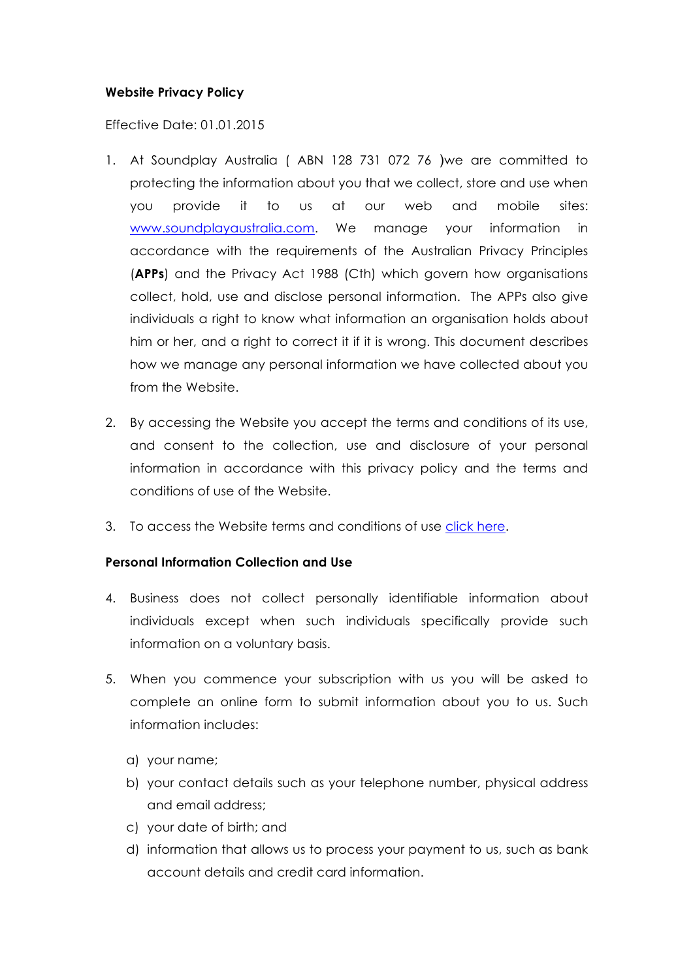## **Website Privacy Policy**

## Effective Date: 01.01.2015

- 1. At Soundplay Australia ( ABN 128 731 072 76 )we are committed to protecting the information about you that we collect, store and use when you provide it to us at our web and mobile sites: www.soundplayaustralia.com. We manage your information in accordance with the requirements of the Australian Privacy Principles (**APPs**) and the Privacy Act 1988 (Cth) which govern how organisations collect, hold, use and disclose personal information. The APPs also give individuals a right to know what information an organisation holds about him or her, and a right to correct it if it is wrong. This document describes how we manage any personal information we have collected about you from the Website.
- 2. By accessing the Website you accept the terms and conditions of its use, and consent to the collection, use and disclosure of your personal information in accordance with this privacy policy and the terms and conditions of use of the Website.
- 3. To access the Website terms and conditions of use click here.

# **Personal Information Collection and Use**

- 4. Business does not collect personally identifiable information about individuals except when such individuals specifically provide such information on a voluntary basis.
- 5. When you commence your subscription with us you will be asked to complete an online form to submit information about you to us. Such information includes:
	- a) your name;
	- b) your contact details such as your telephone number, physical address and email address;
	- c) your date of birth; and
	- d) information that allows us to process your payment to us, such as bank account details and credit card information.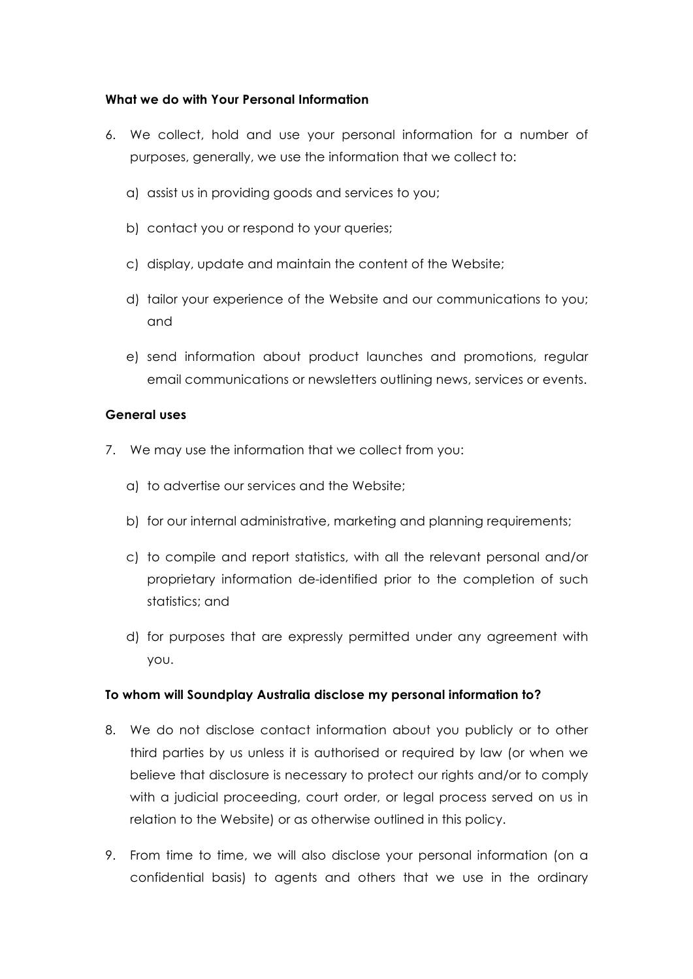## **What we do with Your Personal Information**

- 6. We collect, hold and use your personal information for a number of purposes, generally, we use the information that we collect to:
	- a) assist us in providing goods and services to you;
	- b) contact you or respond to your queries;
	- c) display, update and maintain the content of the Website;
	- d) tailor your experience of the Website and our communications to you; and
	- e) send information about product launches and promotions, regular email communications or newsletters outlining news, services or events.

## **General uses**

- 7. We may use the information that we collect from you:
	- a) to advertise our services and the Website;
	- b) for our internal administrative, marketing and planning requirements;
	- c) to compile and report statistics, with all the relevant personal and/or proprietary information de-identified prior to the completion of such statistics; and
	- d) for purposes that are expressly permitted under any agreement with you.

#### **To whom will Soundplay Australia disclose my personal information to?**

- 8. We do not disclose contact information about you publicly or to other third parties by us unless it is authorised or required by law (or when we believe that disclosure is necessary to protect our rights and/or to comply with a judicial proceeding, court order, or legal process served on us in relation to the Website) or as otherwise outlined in this policy.
- 9. From time to time, we will also disclose your personal information (on a confidential basis) to agents and others that we use in the ordinary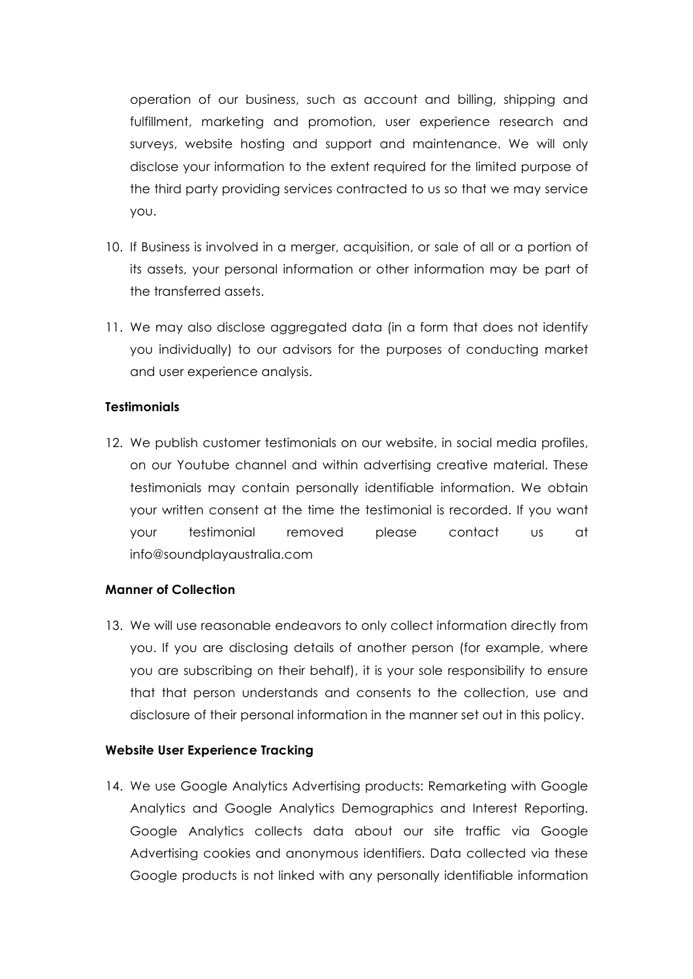operation of our business, such as account and billing, shipping and fulfillment, marketing and promotion, user experience research and surveys, website hosting and support and maintenance. We will only disclose your information to the extent required for the limited purpose of the third party providing services contracted to us so that we may service you.

- 10. If Business is involved in a merger, acquisition, or sale of all or a portion of its assets, your personal information or other information may be part of the transferred assets.
- 11. We may also disclose aggregated data (in a form that does not identify you individually) to our advisors for the purposes of conducting market and user experience analysis.

## **Testimonials**

12. We publish customer testimonials on our website, in social media profiles, on our Youtube channel and within advertising creative material. These testimonials may contain personally identifiable information. We obtain your written consent at the time the testimonial is recorded. If you want your testimonial removed please contact us at info@soundplayaustralia.com

#### **Manner of Collection**

13. We will use reasonable endeavors to only collect information directly from you. If you are disclosing details of another person (for example, where you are subscribing on their behalf), it is your sole responsibility to ensure that that person understands and consents to the collection, use and disclosure of their personal information in the manner set out in this policy.

#### **Website User Experience Tracking**

14. We use Google Analytics Advertising products: Remarketing with Google Analytics and Google Analytics Demographics and Interest Reporting. Google Analytics collects data about our site traffic via Google Advertising cookies and anonymous identifiers. Data collected via these Google products is not linked with any personally identifiable information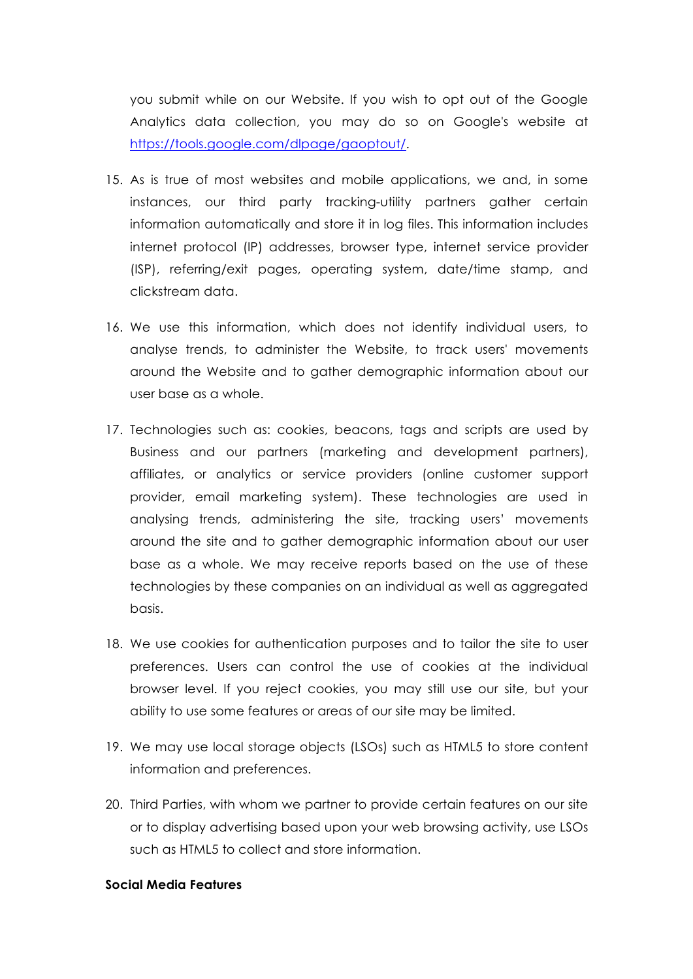you submit while on our Website. If you wish to opt out of the Google Analytics data collection, you may do so on Google's website at https://tools.google.com/dlpage/gaoptout/.

- 15. As is true of most websites and mobile applications, we and, in some instances, our third party tracking-utility partners gather certain information automatically and store it in log files. This information includes internet protocol (IP) addresses, browser type, internet service provider (ISP), referring/exit pages, operating system, date/time stamp, and clickstream data.
- 16. We use this information, which does not identify individual users, to analyse trends, to administer the Website, to track users' movements around the Website and to gather demographic information about our user base as a whole.
- 17. Technologies such as: cookies, beacons, tags and scripts are used by Business and our partners (marketing and development partners), affiliates, or analytics or service providers (online customer support provider, email marketing system). These technologies are used in analysing trends, administering the site, tracking users' movements around the site and to gather demographic information about our user base as a whole. We may receive reports based on the use of these technologies by these companies on an individual as well as aggregated basis.
- 18. We use cookies for authentication purposes and to tailor the site to user preferences. Users can control the use of cookies at the individual browser level. If you reject cookies, you may still use our site, but your ability to use some features or areas of our site may be limited.
- 19. We may use local storage objects (LSOs) such as HTML5 to store content information and preferences.
- 20. Third Parties, with whom we partner to provide certain features on our site or to display advertising based upon your web browsing activity, use LSOs such as HTML5 to collect and store information.

#### **Social Media Features**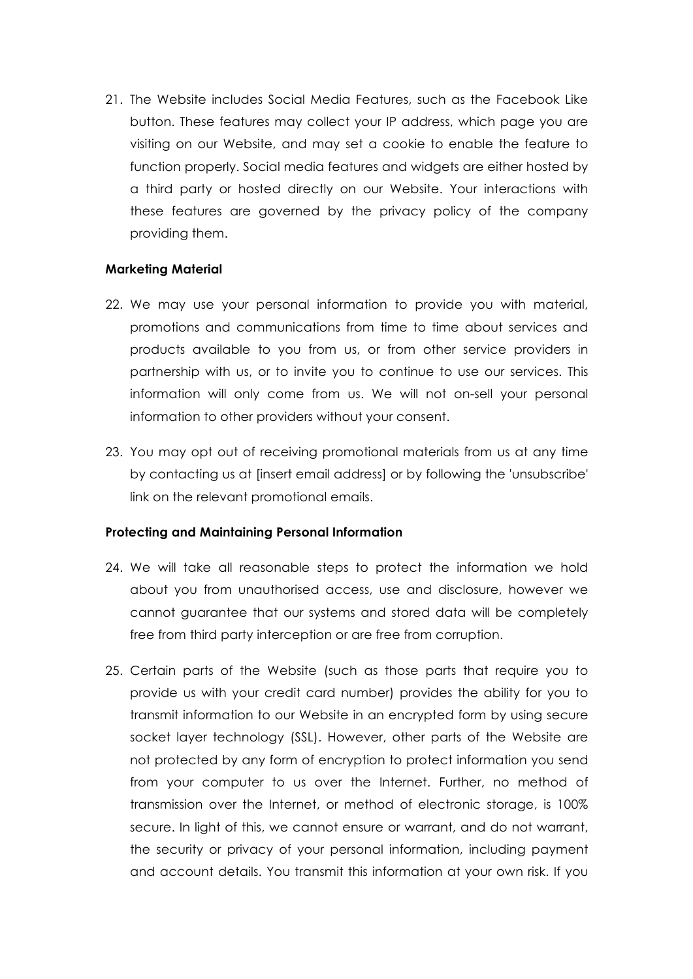21. The Website includes Social Media Features, such as the Facebook Like button. These features may collect your IP address, which page you are visiting on our Website, and may set a cookie to enable the feature to function properly. Social media features and widgets are either hosted by a third party or hosted directly on our Website. Your interactions with these features are governed by the privacy policy of the company providing them.

#### **Marketing Material**

- 22. We may use your personal information to provide you with material, promotions and communications from time to time about services and products available to you from us, or from other service providers in partnership with us, or to invite you to continue to use our services. This information will only come from us. We will not on-sell your personal information to other providers without your consent.
- 23. You may opt out of receiving promotional materials from us at any time by contacting us at [insert email address] or by following the 'unsubscribe' link on the relevant promotional emails.

#### **Protecting and Maintaining Personal Information**

- 24. We will take all reasonable steps to protect the information we hold about you from unauthorised access, use and disclosure, however we cannot guarantee that our systems and stored data will be completely free from third party interception or are free from corruption.
- 25. Certain parts of the Website (such as those parts that require you to provide us with your credit card number) provides the ability for you to transmit information to our Website in an encrypted form by using secure socket layer technology (SSL). However, other parts of the Website are not protected by any form of encryption to protect information you send from your computer to us over the Internet. Further, no method of transmission over the Internet, or method of electronic storage, is 100% secure. In light of this, we cannot ensure or warrant, and do not warrant, the security or privacy of your personal information, including payment and account details. You transmit this information at your own risk. If you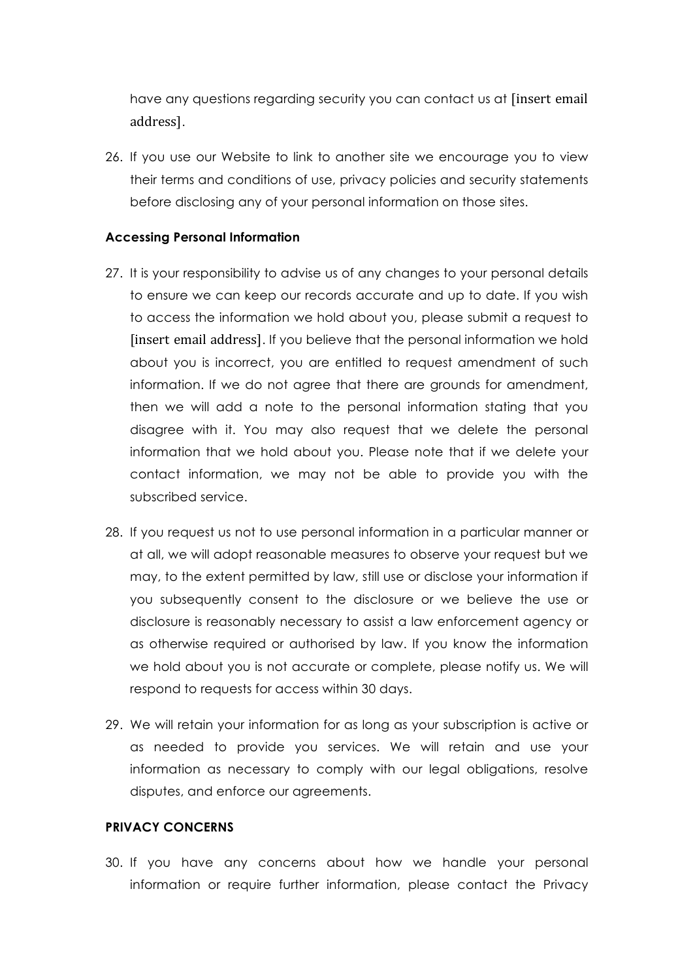have any questions regarding security you can contact us at [insert email address].

26. If you use our Website to link to another site we encourage you to view their terms and conditions of use, privacy policies and security statements before disclosing any of your personal information on those sites.

## **Accessing Personal Information**

- 27. It is your responsibility to advise us of any changes to your personal details to ensure we can keep our records accurate and up to date. If you wish to access the information we hold about you, please submit a request to [insert email address]. If you believe that the personal information we hold about you is incorrect, you are entitled to request amendment of such information. If we do not agree that there are grounds for amendment, then we will add a note to the personal information stating that you disagree with it. You may also request that we delete the personal information that we hold about you. Please note that if we delete your contact information, we may not be able to provide you with the subscribed service.
- 28. If you request us not to use personal information in a particular manner or at all, we will adopt reasonable measures to observe your request but we may, to the extent permitted by law, still use or disclose your information if you subsequently consent to the disclosure or we believe the use or disclosure is reasonably necessary to assist a law enforcement agency or as otherwise required or authorised by law. If you know the information we hold about you is not accurate or complete, please notify us. We will respond to requests for access within 30 days.
- 29. We will retain your information for as long as your subscription is active or as needed to provide you services. We will retain and use your information as necessary to comply with our legal obligations, resolve disputes, and enforce our agreements.

## **PRIVACY CONCERNS**

30. If you have any concerns about how we handle your personal information or require further information, please contact the Privacy